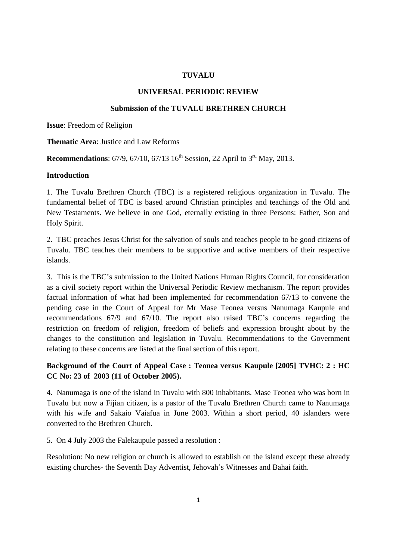#### **TUVALU**

#### **UNIVERSAL PERIODIC REVIEW**

#### **Submission of the TUVALU BRETHREN CHURCH**

**Issue**: Freedom of Religion

**Thematic Area**: Justice and Law Reforms

**Recommendations**:  $67/9$ ,  $67/10$ ,  $67/13$  16<sup>th</sup> Session, 22 April to  $3^{\text{rd}}$  May, 2013.

#### **Introduction**

1. The Tuvalu Brethren Church (TBC) is a registered religious organization in Tuvalu. The fundamental belief of TBC is based around Christian principles and teachings of the Old and New Testaments. We believe in one God, eternally existing in three Persons: Father, Son and Holy Spirit.

2. TBC preaches Jesus Christ for the salvation of souls and teaches people to be good citizens of Tuvalu. TBC teaches their members to be supportive and active members of their respective islands.

3. This is the TBC's submission to the United Nations Human Rights Council, for consideration as a civil society report within the Universal Periodic Review mechanism. The report provides factual information of what had been implemented for recommendation 67/13 to convene the pending case in the Court of Appeal for Mr Mase Teonea versus Nanumaga Kaupule and recommendations 67/9 and 67/10. The report also raised TBC's concerns regarding the restriction on freedom of religion, freedom of beliefs and expression brought about by the changes to the constitution and legislation in Tuvalu. Recommendations to the Government relating to these concerns are listed at the final section of this report.

# **Background of the Court of Appeal Case : Teonea versus Kaupule [2005] TVHC: 2 : HC CC No: 23 of 2003 (11 of October 2005).**

4. Nanumaga is one of the island in Tuvalu with 800 inhabitants. Mase Teonea who was born in Tuvalu but now a Fijian citizen, is a pastor of the Tuvalu Brethren Church came to Nanumaga with his wife and Sakaio Vaiafua in June 2003. Within a short period, 40 islanders were converted to the Brethren Church.

5. On 4 July 2003 the Falekaupule passed a resolution :

Resolution: No new religion or church is allowed to establish on the island except these already existing churches- the Seventh Day Adventist, Jehovah's Witnesses and Bahai faith.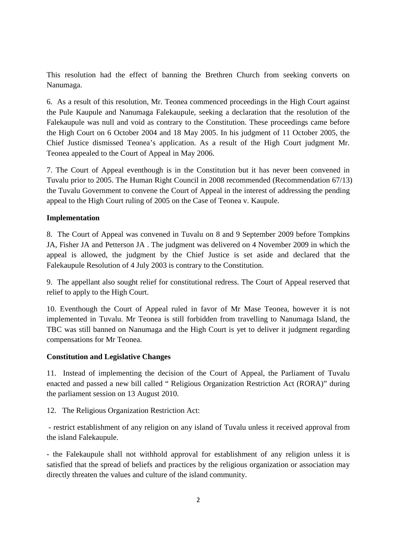This resolution had the effect of banning the Brethren Church from seeking converts on Nanumaga.

6. As a result of this resolution, Mr. Teonea commenced proceedings in the High Court against the Pule Kaupule and Nanumaga Falekaupule, seeking a declaration that the resolution of the Falekaupule was null and void as contrary to the Constitution. These proceedings came before the High Court on 6 October 2004 and 18 May 2005. In his judgment of 11 October 2005, the Chief Justice dismissed Teonea's application. As a result of the High Court judgment Mr. Teonea appealed to the Court of Appeal in May 2006.

7. The Court of Appeal eventhough is in the Constitution but it has never been convened in Tuvalu prior to 2005. The Human Right Council in 2008 recommended (Recommendation 67/13) the Tuvalu Government to convene the Court of Appeal in the interest of addressing the pending appeal to the High Court ruling of 2005 on the Case of Teonea v. Kaupule.

# **Implementation**

8. The Court of Appeal was convened in Tuvalu on 8 and 9 September 2009 before Tompkins JA, Fisher JA and Petterson JA . The judgment was delivered on 4 November 2009 in which the appeal is allowed, the judgment by the Chief Justice is set aside and declared that the Falekaupule Resolution of 4 July 2003 is contrary to the Constitution.

9. The appellant also sought relief for constitutional redress. The Court of Appeal reserved that relief to apply to the High Court.

10. Eventhough the Court of Appeal ruled in favor of Mr Mase Teonea, however it is not implemented in Tuvalu. Mr Teonea is still forbidden from travelling to Nanumaga Island, the TBC was still banned on Nanumaga and the High Court is yet to deliver it judgment regarding compensations for Mr Teonea.

# **Constitution and Legislative Changes**

11. Instead of implementing the decision of the Court of Appeal, the Parliament of Tuvalu enacted and passed a new bill called " Religious Organization Restriction Act (RORA)" during the parliament session on 13 August 2010.

12. The Religious Organization Restriction Act:

 - restrict establishment of any religion on any island of Tuvalu unless it received approval from the island Falekaupule.

- the Falekaupule shall not withhold approval for establishment of any religion unless it is satisfied that the spread of beliefs and practices by the religious organization or association may directly threaten the values and culture of the island community.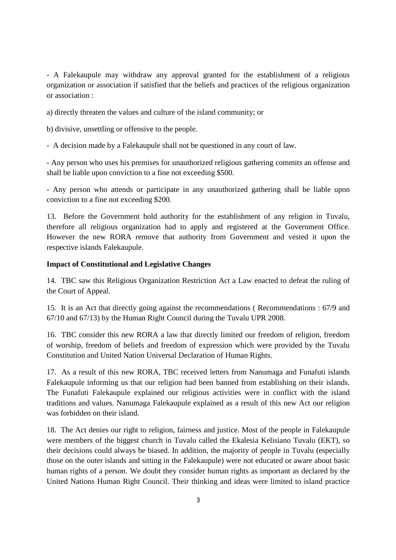- A Falekaupule may withdraw any approval granted for the establishment of a religious organization or association if satisfied that the beliefs and practices of the religious organization or association :

a) directly threaten the values and culture of the island community; or

b) divisive, unsettling or offensive to the people.

- A decision made by a Falekaupule shall not be questioned in any court of law.

- Any person who uses his premises for unauthorized religious gathering commits an offense and shall be liable upon conviction to a fine not exceeding \$500.

- Any person who attends or participate in any unauthorized gathering shall be liable upon conviction to a fine not exceeding \$200.

13. Before the Government hold authority for the establishment of any religion in Tuvalu, therefore all religious organization had to apply and registered at the Government Office. However the new RORA remove that authority from Government and vested it upon the respective islands Falekaupule.

### **Impact of Constitutional and Legislative Changes**

14. TBC saw this Religious Organization Restriction Act a Law enacted to defeat the ruling of the Court of Appeal.

15. It is an Act that directly going against the recommendations ( Recommendations : 67/9 and 67/10 and 67/13) by the Human Right Council during the Tuvalu UPR 2008.

16. TBC consider this new RORA a law that directly limited our freedom of religion, freedom of worship, freedom of beliefs and freedom of expression which were provided by the Tuvalu Constitution and United Nation Universal Declaration of Human Rights.

17. As a result of this new RORA, TBC received letters from Nanumaga and Funafuti islands Falekaupule informing us that our religion had been banned from establishing on their islands. The Funafuti Falekaupule explained our religious activities were in conflict with the island traditions and values. Nanumaga Falekaupule explained as a result of this new Act our religion was forbidden on their island.

18. The Act denies our right to religion, fairness and justice. Most of the people in Falekaupule were members of the biggest church in Tuvalu called the Ekalesia Kelisiano Tuvalu (EKT), so their decisions could always be biased. In addition, the majority of people in Tuvalu (especially those on the outer islands and sitting in the Falekaupule) were not educated or aware about basic human rights of a person. We doubt they consider human rights as important as declared by the United Nations Human Right Council. Their thinking and ideas were limited to island practice